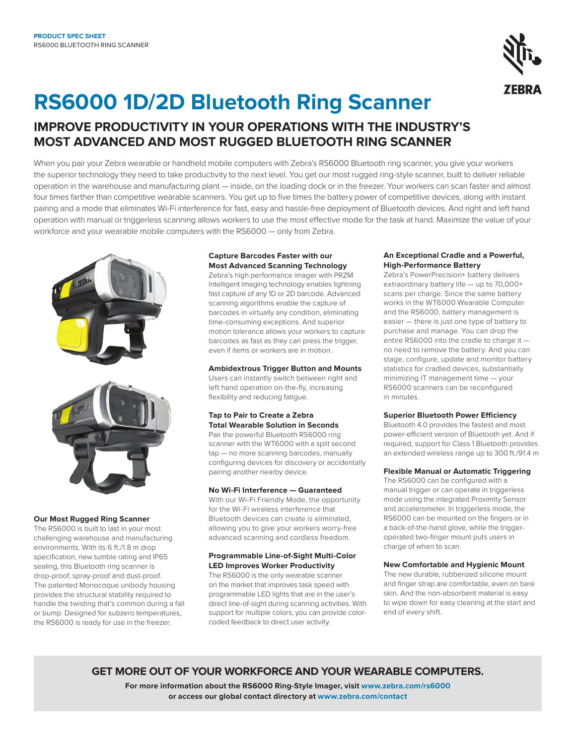

# **RS6000 1D/2D Bluetooth Ring Scanner**

### **improve productivity in your operations with the industry's most advanced and most rugged bluetooth ring scanner**

When you pair your Zebra wearable or handheld mobile computers with Zebra's RS6000 Bluetooth ring scanner, you give your workers the superior technology they need to take productivity to the next level. You get our most rugged ring-style scanner, built to deliver reliable operation in the warehouse and manufacturing plant — inside, on the loading dock or in the freezer. Your workers can scan faster and almost four times farther than competitive wearable scanners. You get up to five times the battery power of competitive devices, along with instant pairing and a mode that eliminates Wi-Fi interference for fast, easy and hassle-free deployment of Bluetooth devices. And right and left hand operation with manual or triggerless scanning allows workers to use the most effective mode for the task at hand. Maximize the value of your workforce and your wearable mobile computers with the RS6000 — only from Zebra.





### **Our Most Rugged Ring Scanner**

The RS6000 is built to last in your most challenging warehouse and manufacturing environments. With its 6 ft./1.8 m drop specification, new tumble rating and IP65 sealing, this Bluetooth ring scanner is drop-proof, spray-proof and dust-proof. The patented Monocoque unibody housing provides the structural stability required to handle the twisting that's common during a fall or bump. Designed for subzero temperatures, the RS6000 is ready for use in the freezer.

### **Capture Barcodes Faster with our Most Advanced Scanning Technology**

Zebra's high performance imager with PRZM Intelligent Imaging technology enables lightning fast capture of any 1D or 2D barcode. Advanced scanning algorithms enable the capture of barcodes in virtually any condition, eliminating time-consuming exceptions. And superior motion tolerance allows your workers to capture barcodes as fast as they can press the trigger, even if items or workers are in motion.

**Ambidextrous Trigger Button and Mounts** Users can instantly switch between right and left hand operation on-the-fly, increasing flexibility and reducing fatigue.

### **Tap to Pair to Create a Zebra Total Wearable Solution in Seconds**

Pair the powerful Bluetooth RS6000 ring scanner with the WT6000 with a split second tap — no more scanning barcodes, manually configuring devices for discovery or accidentally pairing another nearby device.

### **No Wi-Fi Interference — Guaranteed**

With our Wi-Fi Friendly Mode, the opportunity for the Wi-Fi wireless interference that Bluetooth devices can create is eliminated, allowing you to give your workers worry-free advanced scanning and cordless freedom.

### **Programmable Line-of-Sight Multi-Color LED Improves Worker Productivity**

The RS6000 is the only wearable scanner on the market that improves task speed with programmable LED lights that are in the user's direct line-of-sight during scanning activities. With support for multiple colors, you can provide colorcoded feedback to direct user activity.

### **An Exceptional Cradle and a Powerful, High-Performance Battery**

Zebra's PowerPrecision+ battery delivers extraordinary battery life — up to 70,000+ scans per charge. Since the same battery works in the WT6000 Wearable Computer and the RS6000, battery management is easier — there is just one type of battery to purchase and manage. You can drop the entire RS6000 into the cradle to charge it no need to remove the battery. And you can stage, configure, update and monitor battery statistics for cradled devices, substantially minimizing IT management time — your RS6000 scanners can be reconfigured in minutes.

### **Superior Bluetooth Power Efficiency**

Bluetooth 4.0 provides the fastest and most power-efficient version of Bluetooth yet. And if required, support for Class 1 Bluetooth provides an extended wireless range up to 300 ft./91.4 m

### **Flexible Manual or Automatic Triggering**

The RS6000 can be configured with a manual trigger or can operate in triggerless mode using the integrated Proximity Sensor and accelerometer. In triggerless mode, the RS6000 can be mounted on the fingers or in a back-of-the-hand glove, while the triggeroperated two-finger mount puts users in charge of when to scan.

### **New Comfortable and Hygienic Mount**

The new durable, rubberized silicone mount and finger strap are comfortable, even on bare skin. And the non-absorbent material is easy to wipe down for easy cleaning at the start and end of every shift.

### **get more out of your workforce and your wearable computers .**

**For more information about the RS6000 Ring-Style Imager, visit [www.zebra.com/](http://www.zebra.com/mc40)rs6000 or access our global contact directory at [www.zebra.com/contact](http://www.zebra.com/contact)**